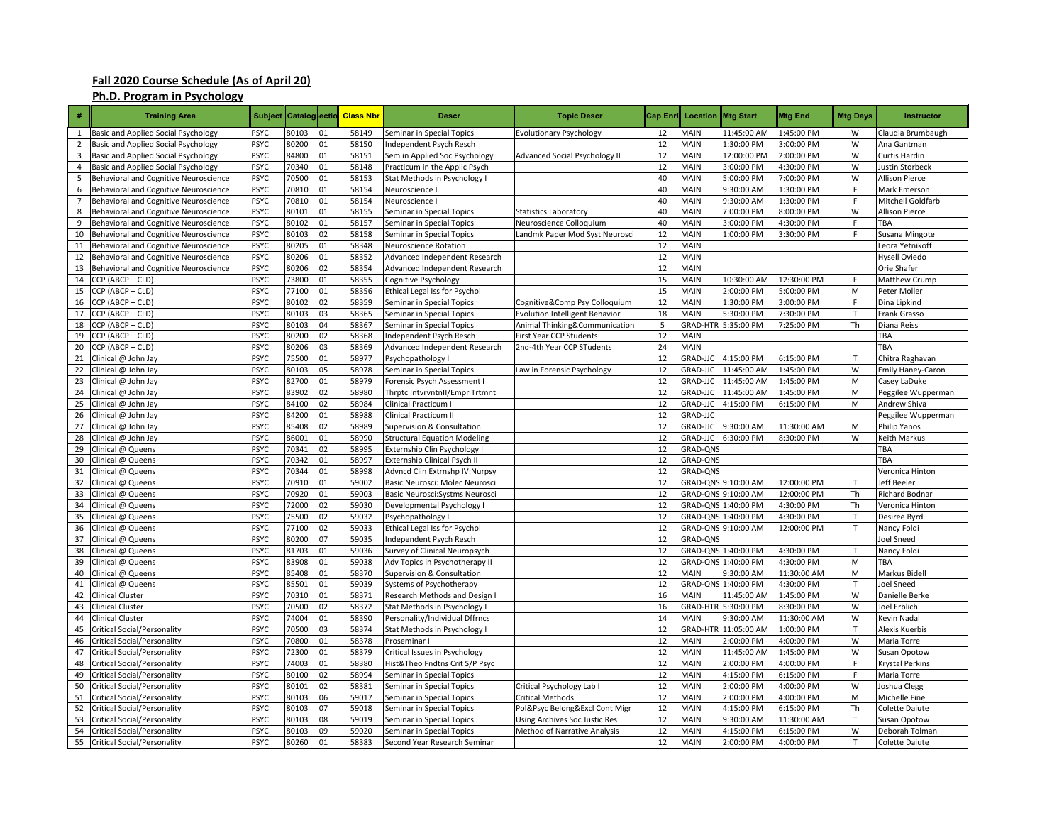## **Fall 2020 Course Schedule (As of April 20)**

## **Ph.D. Program in Psychology**

| #              | <b>Training Area</b>                               | <b>Subject</b>      |                |          | Catalog ectio Class Nbr | <b>Descr</b>                                                | <b>Topic Descr</b>                    | Cap Eni  | Location        | <b>Mtg Start</b>                  | <b>Mtg End</b>            | <b>Mtg Days</b> | <b>Instructor</b>              |
|----------------|----------------------------------------------------|---------------------|----------------|----------|-------------------------|-------------------------------------------------------------|---------------------------------------|----------|-----------------|-----------------------------------|---------------------------|-----------------|--------------------------------|
| $\mathbf{1}$   | Basic and Applied Social Psychology                | PSYC                | 80103          | 01       | 58149                   | eminar in Special Topics                                    | <b>Evolutionary Psychology</b>        | 12       | MAIN            | 11:45:00 AM                       | 1:45:00 PM                | W               | Claudia Brumbaugh              |
| $\overline{2}$ | Basic and Applied Social Psychology                | <b>PSYC</b>         | 80200          | 01       | 58150                   | ndependent Psych Resch                                      |                                       | 12       | <b>MAIN</b>     | 1:30:00 PM                        | 3:00:00 PM                | W               | Ana Gantman                    |
| 3              | Basic and Applied Social Psychology                | <b>PSYC</b>         | 84800          | 01       | 58151                   | Sem in Applied Soc Psychology                               | <b>Advanced Social Psychology II</b>  | 12       | MAIN            | 12:00:00 PM                       | :00:00 PM                 | W               | Curtis Hardin                  |
| 4              | Basic and Applied Social Psychology                | <b>PSYC</b>         | 70340          | 01       | 58148                   | Practicum in the Applic Psych                               |                                       | 12       | MAIN            | 3:00:00 PM                        | 4:30:00 PM                | W               | Justin Storbeck                |
| 5              | Behavioral and Cognitive Neuroscience              | <b>PSYC</b>         | 70500          | 01       | 58153                   | Stat Methods in Psychology I                                |                                       | 40       | MAIN            | 5:00:00 PM                        | 7:00:00 PM                | W               | <b>Allison Pierce</b>          |
| 6              | Behavioral and Cognitive Neuroscience              | PSYC                | 70810          | 01       | 58154                   | Neuroscience I                                              |                                       | 40       | MAIN            | 9:30:00 AM                        | 1:30:00 PM                | F               | Mark Emerson                   |
| $\overline{7}$ | Behavioral and Cognitive Neuroscience              | <b>PSYC</b>         | 70810          | 01       | 58154                   | Neuroscience I                                              |                                       | 40       | MAIN            | 9:30:00 AM                        | 1:30:00 PM                | F               | Mitchell Goldfarb              |
| 8              | Behavioral and Cognitive Neuroscience              | <b>PSYC</b>         | 80101          | 01       | 58155                   | Seminar in Special Topics                                   | Statistics Laboratory                 | 40       | MAIN            | 7:00:00 PM                        | 3:00:00 PM                | W               | <b>Allison Pierce</b>          |
| 9              | Behavioral and Cognitive Neuroscience              | PSYC                | 80102          | 01       | 58157                   | Seminar in Special Topics                                   | Neuroscience Colloquium               | 40       | MAIN            | 3:00:00 PM                        | 4:30:00 PM                | F               | TBA                            |
| 10             | Behavioral and Cognitive Neuroscience              | <b>PSYC</b>         | 80103          | 02       | 58158                   | Seminar in Special Topics                                   | Landmk Paper Mod Syst Neurosci        | 12       | MAIN            | 1:00:00 PM                        | 3:30:00 PM                | F               | Susana Mingote                 |
| 11             | Behavioral and Cognitive Neuroscience              | <b>PSYC</b>         | 80205          | 01       | 58348                   | Neuroscience Rotation                                       |                                       | 12       | MAIN            |                                   |                           |                 | Leora Yetnikoff                |
| 12             | Behavioral and Cognitive Neuroscience              | <b>PSYC</b>         | 80206          | 01       | 58352                   | Advanced Independent Research                               |                                       | 12       | <b>MAIN</b>     |                                   |                           |                 | Hysell Oviedo                  |
| 13             | Behavioral and Cognitive Neuroscience              | <b>PSYC</b>         | 80206          | 02       | 58354                   | Advanced Independent Research                               |                                       | 12       | MAIN            |                                   |                           |                 | Orie Shafer                    |
| 14             | CCP (ABCP + CLD)                                   | PSYC                | 73800          | 01       | 58355                   | Cognitive Psychology                                        |                                       | 15       | MAIN            | 10:30:00 AM                       | 12:30:00 PM               | F               | <b>Matthew Crump</b>           |
| 15             | CCP (ABCP + CLD)                                   | <b>PSYC</b>         | 77100          | 01       | 58356                   | Ethical Legal Iss for Psychol                               |                                       | 15       | <b>MAIN</b>     | 2:00:00 PM                        | :00:00 PM                 | M               | Peter Moller                   |
| 16             | CCP (ABCP + CLD)                                   | PSYC                | 80102          | 02       | 58359                   | Seminar in Special Topics                                   | Cognitive&Comp Psy Colloquium         | 12       | MAIN            | 1:30:00 PM                        | 3:00:00 PM                | F               | Dina Lipkind                   |
| 17             | CCP (ABCP + CLD)                                   | PSYC                | 80103          | 03       | 58365                   | Seminar in Special Topics                                   | <b>Evolution Intelligent Behavior</b> | 18       | MAIN            | 5:30:00 PM                        | 7:30:00 PM                | T               | Frank Grasso                   |
| 18             | CCP (ABCP + CLD)                                   | <b>PSYC</b>         | 80103          | 04       | 58367                   | Seminar in Special Topics                                   | Animal Thinking&Communication         | 5        | <b>GRAD-HTR</b> | 5:35:00 PM                        | 7:25:00 PM                | Th              | Diana Reiss                    |
| 19             | CCP (ABCP + CLD)                                   | PSYC                | 80200          | 02       | 58368                   | ndependent Psych Resch                                      | First Year CCP Students               | 12       | <b>MAIN</b>     |                                   |                           |                 | TBA                            |
| 20             | CCP (ABCP + CLD)                                   | <b>PSYC</b>         | 80206          | 03       | 58369                   | Advanced Independent Research                               | 2nd-4th Year CCP STudents             | 24       | <b>MAIN</b>     |                                   |                           |                 | TBA                            |
| 21             | Clinical @ John Jay                                | <b>PSYC</b>         | 75500          | 01       | 58977                   | Psychopathology I                                           |                                       | 12       | <b>GRAD-JJC</b> | 4:15:00 PM                        | 6:15:00 PM                | T               | Chitra Raghavan                |
| 22             | Clinical @ John Jay                                | <b>PSYC</b>         | 80103          | 05       | 58978                   | Seminar in Special Topics                                   | Law in Forensic Psychology            | 12       | <b>GRAD-JJC</b> | 11:45:00 AM                       | 1:45:00 PM                | W               | Emily Haney-Caron              |
| 23             | Clinical @ John Jay                                | PSYC                | 82700          | 01       | 58979                   | orensic Psych Assessment I                                  |                                       | 12       | <b>GRAD-JJC</b> | 11:45:00 AM                       | :45:00 PM                 | M               | Casey LaDuke                   |
| 24             | Clinical @ John Jay                                | <b>PSYC</b>         | 83902          | 02       | 58980                   | Thrptc Intvrvntnll/Empr Trtmnt                              |                                       | 12       | GRAD-JJC        | 11:45:00 AM                       | 1:45:00 PM                | M               | Peggilee Wupperman             |
| 25             | Clinical @ John Jay                                | PSYC                | 84100          | 02       | 58984                   | Clinical Practicum I                                        |                                       | 12       | <b>GRAD-JJC</b> | 4:15:00 PM                        | 6:15:00 PM                | M               | Andrew Shiva                   |
| 26             | Clinical @ John Jay                                | <b>PSYC</b>         | 84200          | 01       | 58988                   | Clinical Practicum II                                       |                                       | 12       | <b>GRAD-JJC</b> |                                   |                           |                 | Peggilee Wupperman             |
| 27             | Clinical @ John Jay                                | <b>PSYC</b>         | 85408          | 02       | 58989                   | Supervision & Consultation                                  |                                       | 12       | <b>GRAD-JJC</b> | 9:30:00 AM                        | 11:30:00 AM               | M               | Philip Yanos                   |
| 28             | Clinical @ John Jay                                | <b>PSYC</b>         | 86001          | 01       | 58990                   | <b>Structural Equation Modeling</b>                         |                                       | 12       | <b>GRAD-JJC</b> | 6:30:00 PM                        | 8:30:00 PM                | W               | Keith Markus                   |
| 29             | Clinical @ Queens                                  | <b>PSYC</b>         | 70341          | 02       | 58995                   | Externship Clin Psychology I                                |                                       | 12       | <b>GRAD-QNS</b> |                                   |                           |                 | TBA                            |
| 30             | Clinical @ Queens                                  | <b>PSYC</b>         | 70342          | 01       | 58997                   | <b>Externship Clinical Psych II</b>                         |                                       | 12       | GRAD-QNS        |                                   |                           |                 | TBA                            |
| 31             | Clinical @ Queens                                  | <b>PSYC</b>         | 70344          | 01       | 58998                   | Advncd Clin Extrnshp IV:Nurpsy                              |                                       | 12       | <b>GRAD-QNS</b> |                                   |                           |                 | Veronica Hintor                |
| 32             | Clinical @ Queens                                  | <b>PSYC</b>         | 70910          | 01       | 59002                   | Basic Neurosci: Molec Neurosci                              |                                       | 12       |                 | GRAD-QNS 9:10:00 AM               | 12:00:00 PM               | T               | Jeff Beeler                    |
| 33             | Clinical @ Queens                                  | PSYC                | 70920          | 01       | 59003                   | Basic Neurosci:Systms Neurosci                              |                                       | 12       | <b>GRAD-QNS</b> | 9:10:00 AM                        | 12:00:00 PM               | Th              | <b>Richard Bodnar</b>          |
| 34             | Clinical @ Queens                                  | <b>PSYC</b>         | 72000          | 02       | 59030                   | Developmental Psychology I                                  |                                       | 12       |                 | GRAD-QNS 1:40:00 PM               | 4:30:00 PM                | Th              | Veronica Hintor                |
| 35             | Clinical @ Queens                                  | <b>PSYC</b>         | 75500          | 02       | 59032                   | 'sychopathology I                                           |                                       | 12       |                 | GRAD-QNS 1:40:00 PM               | 4:30:00 PM                | T               | Desiree Byrd                   |
| 36             | Clinical @ Queens                                  | <b>PSYC</b>         | 77100          | 02       | 59033                   | Ethical Legal Iss for Psychol                               |                                       | 12       |                 | GRAD-QNS 9:10:00 AM               | 12:00:00 PM               | $\mathsf{T}$    | Nancy Foldi                    |
| 37             | Clinical @ Queens                                  | <b>PSYC</b>         | 80200          | 07       | 59035                   | ndependent Psych Resch                                      |                                       | 12       | <b>GRAD-QNS</b> |                                   |                           |                 | Joel Sneed                     |
| 38             | Clinical @ Queens                                  | <b>PSYC</b>         | 81703          | 01       | 59036                   | urvey of Clinical Neuropsych                                |                                       | 12       |                 | GRAD-QNS 1:40:00 PM               | 4:30:00 PM                | $\mathsf{T}$    | Nancy Foldi                    |
| 39             | Clinical @ Queens                                  | <b>PSYC</b>         | 83908          | 01       | 59038                   | Adv Topics in Psychotherapy II                              |                                       | 12<br>12 |                 | GRAD-QNS 1:40:00 PM               | 4:30:00 PM                | M<br>M          | TBA                            |
| 40<br>41       | Clinical @ Queens                                  | <b>PSYC</b><br>PSYC | 85408<br>85501 | 01<br>01 | 58370<br>59039          | Supervision & Consultation                                  |                                       | 12       | MAIN            | 9:30:00 AM<br>GRAD-QNS 1:40:00 PM | 11:30:00 AM<br>4:30:00 PM | T               | Markus Bidell<br>Joel Sneed    |
|                | Clinical @ Queens                                  |                     |                |          |                         | Systems of Psychotherapy                                    |                                       | 16       | <b>MAIN</b>     |                                   |                           | W               |                                |
| 42<br>43       | <b>Clinical Cluster</b><br><b>Clinical Cluster</b> | <b>PSYC</b><br>PSYC | 70310<br>70500 | 01<br>02 | 58371<br>58372          | Research Methods and Design<br>Stat Methods in Psychology I |                                       | 16       | <b>GRAD-HTR</b> | 11:45:00 AM<br>5:30:00 PM         | 1:45:00 PM<br>3:30:00 PM  | W               | Danielle Berke<br>Joel Erblich |
| 44             | <b>Clinical Cluster</b>                            | PSYC                | 74004          | 01       | 58390                   | Personality/Individual Dffrncs                              |                                       | 14       | <b>MAIN</b>     | 9:30:00 AM                        | 11:30:00 AM               | W               | Kevin Nadal                    |
| 45             | <b>Critical Social/Personality</b>                 | <b>PSYC</b>         | 70500          | 03       | 58374                   | Stat Methods in Psychology I                                |                                       | 12       | GRAD-HTR        | 11:05:00 AM                       | 1:00:00 PM                | T               | Alexis Kuerbis                 |
| 46             | <b>Critical Social/Personality</b>                 | PSYC                | 70800          | 01       | 58378                   | Proseminar I                                                |                                       | 12       | MAIN            | 2:00:00 PM                        | 4:00:00 PM                | W               | Maria Torre                    |
| 47             | Critical Social/Personality                        | <b>PSYC</b>         | 72300          | 01       | 58379                   | Critical Issues in Psychology                               |                                       | 12       | MAIN            | 11:45:00 AM                       | 1:45:00 PM                | W               | Susan Opotow                   |
| 48             | <b>Critical Social/Personality</b>                 | <b>PSYC</b>         | 74003          | 01       | 58380                   | Hist&Theo Fndtns Crit S/P Psyc                              |                                       | 12       | MAIN            | 2:00:00 PM                        | 4:00:00 PM                | F.              | Krystal Perkins                |
| 49             | <b>Critical Social/Personality</b>                 | <b>PSYC</b>         | 80100          | 02       | 58994                   | Seminar in Special Topics                                   |                                       | 12       | MAIN            | 4:15:00 PM                        | 6:15:00 PM                | F               | Maria Torre                    |
| 50             | <b>Critical Social/Personality</b>                 | <b>PSYC</b>         | 80101          | 02       | 58381                   | Seminar in Special Topics                                   | Critical Psychology Lab               | 12       | MAIN            | 2:00:00 PM                        | 4:00:00 PM                | W               | Joshua Clegg                   |
| 51             | <b>Critical Social/Personality</b>                 | PSYC                | 80103          | 06       | 59017                   | Seminar in Special Topics                                   | Critical Methods                      | 12       | MAIN            | 2:00:00 PM                        | 4:00:00 PM                | M               | Michelle Fine                  |
| 52             | <b>Critical Social/Personality</b>                 | <b>PSYC</b>         | 80103          | 07       | 59018                   | Seminar in Special Topics                                   | Pol&Psyc Belong&Excl Cont Migr        | 12       | MAIN            | 4:15:00 PM                        | 6:15:00 PM                | Th              | Colette Daiute                 |
| 53             | <b>Critical Social/Personality</b>                 | <b>PSYC</b>         | 80103          | 08       | 59019                   | Seminar in Special Topics                                   | Using Archives Soc Justic Res         | 12       | MAIN            | 9:30:00 AM                        | 11:30:00 AM               | T               | Susan Opotow                   |
| 54             | <b>Critical Social/Personality</b>                 | PSYC                | 80103          | 09       | 59020                   | Seminar in Special Topics                                   | Method of Narrative Analysis          | 12       | MAIN            | 4:15:00 PM                        | 6:15:00 PM                | W               | Deborah Tolmar                 |
| 55             | <b>Critical Social/Personality</b>                 | <b>PSYC</b>         | 80260          | 01       | 58383                   | Second Year Research Seminar                                |                                       | 12       | <b>MAIN</b>     | 2:00:00 PM                        | 4:00:00 PM                | T               | Colette Daiute                 |